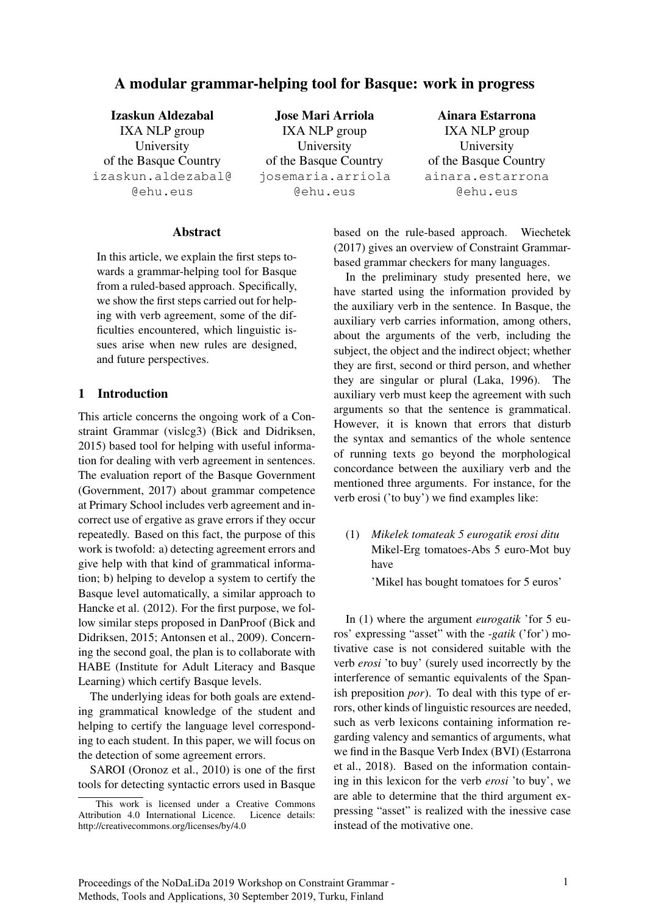# A modular grammar-helping tool for Basque: work in progress

Izaskun Aldezabal IXA NLP group University of the Basque Country izaskun.aldezabal@ @ehu.eus

Jose Mari Arriola IXA NLP group University of the Basque Country josemaria.arriola @ehu.eus

Ainara Estarrona IXA NLP group University of the Basque Country ainara.estarrona @ehu.eus

### Abstract

In this article, we explain the first steps towards a grammar-helping tool for Basque from a ruled-based approach. Specifically, we show the first steps carried out for helping with verb agreement, some of the difficulties encountered, which linguistic issues arise when new rules are designed, and future perspectives.

### 1 Introduction

This article concerns the ongoing work of a Constraint Grammar (vislcg3) (Bick and Didriksen, 2015) based tool for helping with useful information for dealing with verb agreement in sentences. The evaluation report of the Basque Government (Government, 2017) about grammar competence at Primary School includes verb agreement and incorrect use of ergative as grave errors if they occur repeatedly. Based on this fact, the purpose of this work is twofold: a) detecting agreement errors and give help with that kind of grammatical information; b) helping to develop a system to certify the Basque level automatically, a similar approach to Hancke et al. (2012). For the first purpose, we follow similar steps proposed in DanProof (Bick and Didriksen, 2015; Antonsen et al., 2009). Concerning the second goal, the plan is to collaborate with HABE (Institute for Adult Literacy and Basque Learning) which certify Basque levels.

The underlying ideas for both goals are extending grammatical knowledge of the student and helping to certify the language level corresponding to each student. In this paper, we will focus on the detection of some agreement errors.

SAROI (Oronoz et al., 2010) is one of the first tools for detecting syntactic errors used in Basque based on the rule-based approach. Wiechetek (2017) gives an overview of Constraint Grammarbased grammar checkers for many languages.

In the preliminary study presented here, we have started using the information provided by the auxiliary verb in the sentence. In Basque, the auxiliary verb carries information, among others, about the arguments of the verb, including the subject, the object and the indirect object; whether they are first, second or third person, and whether they are singular or plural (Laka, 1996). The auxiliary verb must keep the agreement with such arguments so that the sentence is grammatical. However, it is known that errors that disturb the syntax and semantics of the whole sentence of running texts go beyond the morphological concordance between the auxiliary verb and the mentioned three arguments. For instance, for the verb erosi ('to buy') we find examples like:

(1) *Mikelek tomateak 5 eurogatik erosi ditu* Mikel-Erg tomatoes-Abs 5 euro-Mot buy have

'Mikel has bought tomatoes for 5 euros'

In (1) where the argument *eurogatik* 'for 5 euros' expressing "asset" with the *-gatik* ('for') motivative case is not considered suitable with the verb *erosi* 'to buy' (surely used incorrectly by the interference of semantic equivalents of the Spanish preposition *por*). To deal with this type of errors, other kinds of linguistic resources are needed, such as verb lexicons containing information regarding valency and semantics of arguments, what we find in the Basque Verb Index (BVI) (Estarrona et al., 2018). Based on the information containing in this lexicon for the verb *erosi* 'to buy', we are able to determine that the third argument expressing "asset" is realized with the inessive case instead of the motivative one.

This work is licensed under a Creative Commons Attribution 4.0 International Licence. Licence details: http://creativecommons.org/licenses/by/4.0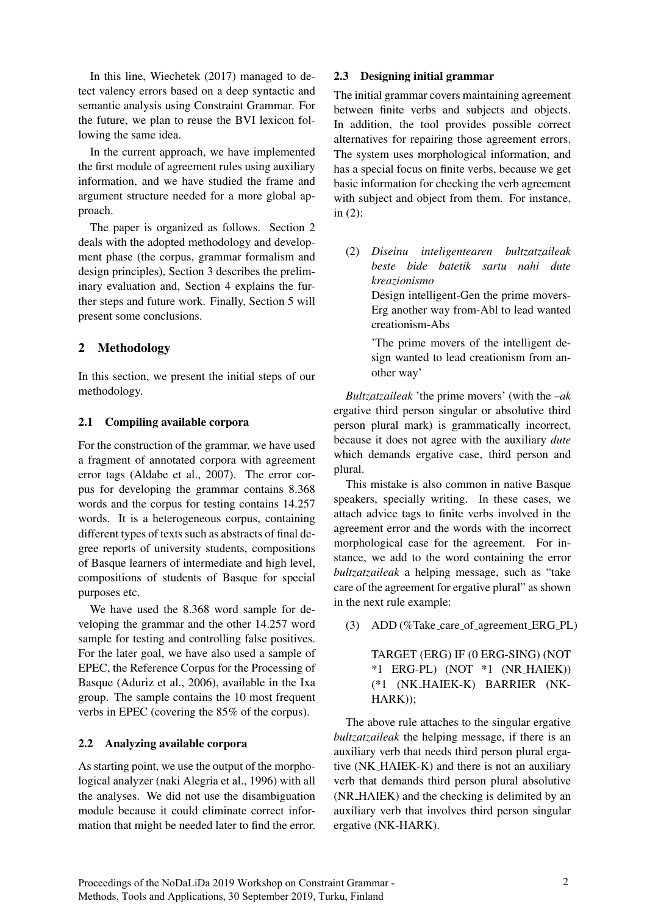In this line, Wiechetek (2017) managed to detect valency errors based on a deep syntactic and semantic analysis using Constraint Grammar. For the future, we plan to reuse the BVI lexicon following the same idea.

In the current approach, we have implemented the first module of agreement rules using auxiliary information, and we have studied the frame and argument structure needed for a more global approach.

The paper is organized as follows. Section 2 deals with the adopted methodology and development phase (the corpus, grammar formalism and design principles), Section 3 describes the preliminary evaluation and, Section 4 explains the further steps and future work. Finally, Section 5 will present some conclusions.

### 2 Methodology

In this section, we present the initial steps of our methodology.

### 2.1 Compiling available corpora

For the construction of the grammar, we have used a fragment of annotated corpora with agreement error tags (Aldabe et al., 2007). The error corpus for developing the grammar contains 8.368 words and the corpus for testing contains 14.257 words. It is a heterogeneous corpus, containing different types of texts such as abstracts of final degree reports of university students, compositions of Basque learners of intermediate and high level, compositions of students of Basque for special purposes etc.

We have used the 8.368 word sample for developing the grammar and the other 14.257 word sample for testing and controlling false positives. For the later goal, we have also used a sample of EPEC, the Reference Corpus for the Processing of Basque (Aduriz et al., 2006), available in the Ixa group. The sample contains the 10 most frequent verbs in EPEC (covering the 85% of the corpus).

### 2.2 Analyzing available corpora

As starting point, we use the output of the morphological analyzer (naki Alegria et al., 1996) with all the analyses. We did not use the disambiguation module because it could eliminate correct information that might be needed later to find the error.

#### 2.3 Designing initial grammar

The initial grammar covers maintaining agreement between finite verbs and subjects and objects. In addition, the tool provides possible correct alternatives for repairing those agreement errors. The system uses morphological information, and has a special focus on finite verbs, because we get basic information for checking the verb agreement with subject and object from them. For instance, in (2):

(2) *Diseinu inteligentearen bultzatzaileak beste bide batetik sartu nahi dute kreazionismo* Design intelligent-Gen the prime movers-

Erg another way from-Abl to lead wanted creationism-Abs

'The prime movers of the intelligent design wanted to lead creationism from another way'

*Bultzatzaileak* 'the prime movers' (with the *–ak* ergative third person singular or absolutive third person plural mark) is grammatically incorrect, because it does not agree with the auxiliary *dute* which demands ergative case, third person and plural.

This mistake is also common in native Basque speakers, specially writing. In these cases, we attach advice tags to finite verbs involved in the agreement error and the words with the incorrect morphological case for the agreement. For instance, we add to the word containing the error *bultzatzaileak* a helping message, such as "take care of the agreement for ergative plural" as shown in the next rule example:

(3) ADD (%Take care of agreement ERG PL)

TARGET (ERG) IF (0 ERG-SING) (NOT \*1 ERG-PL) (NOT \*1 (NR HAIEK)) (\*1 (NK HAIEK-K) BARRIER (NK-HARK));

The above rule attaches to the singular ergative *bultzatzaileak* the helping message, if there is an auxiliary verb that needs third person plural ergative (NK HAIEK-K) and there is not an auxiliary verb that demands third person plural absolutive (NR HAIEK) and the checking is delimited by an auxiliary verb that involves third person singular ergative (NK-HARK).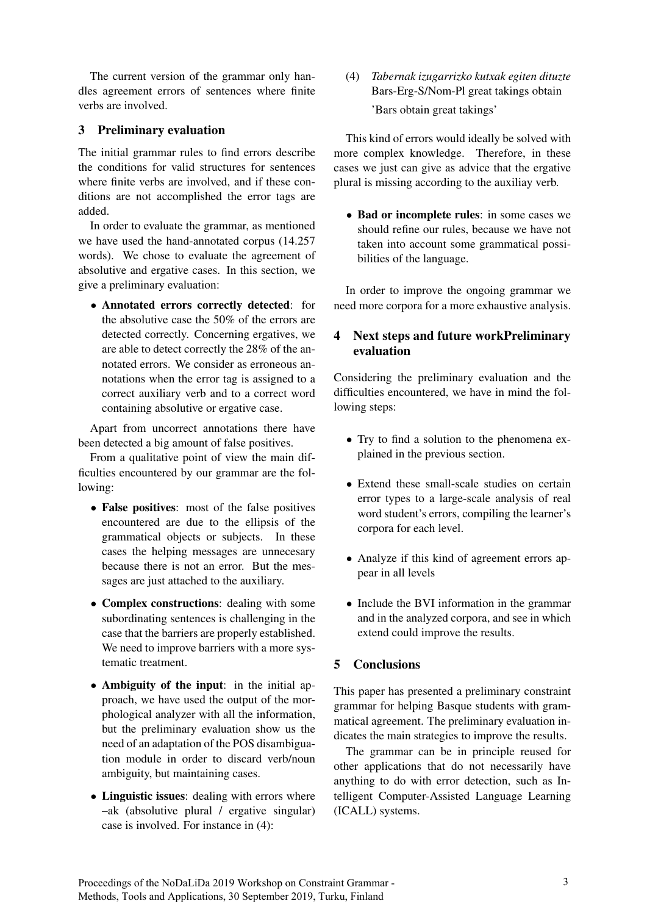The current version of the grammar only handles agreement errors of sentences where finite verbs are involved.

## 3 Preliminary evaluation

The initial grammar rules to find errors describe the conditions for valid structures for sentences where finite verbs are involved, and if these conditions are not accomplished the error tags are added.

In order to evaluate the grammar, as mentioned we have used the hand-annotated corpus (14.257 words). We chose to evaluate the agreement of absolutive and ergative cases. In this section, we give a preliminary evaluation:

• Annotated errors correctly detected: for the absolutive case the 50% of the errors are detected correctly. Concerning ergatives, we are able to detect correctly the 28% of the annotated errors. We consider as erroneous annotations when the error tag is assigned to a correct auxiliary verb and to a correct word containing absolutive or ergative case.

Apart from uncorrect annotations there have been detected a big amount of false positives.

From a qualitative point of view the main difficulties encountered by our grammar are the following:

- False positives: most of the false positives encountered are due to the ellipsis of the grammatical objects or subjects. In these cases the helping messages are unnecesary because there is not an error. But the messages are just attached to the auxiliary.
- Complex constructions: dealing with some subordinating sentences is challenging in the case that the barriers are properly established. We need to improve barriers with a more systematic treatment.
- Ambiguity of the input: in the initial approach, we have used the output of the morphological analyzer with all the information, but the preliminary evaluation show us the need of an adaptation of the POS disambiguation module in order to discard verb/noun ambiguity, but maintaining cases.
- Linguistic issues: dealing with errors where –ak (absolutive plural / ergative singular) case is involved. For instance in (4):

(4) *Tabernak izugarrizko kutxak egiten dituzte* Bars-Erg-S/Nom-Pl great takings obtain 'Bars obtain great takings'

This kind of errors would ideally be solved with more complex knowledge. Therefore, in these cases we just can give as advice that the ergative plural is missing according to the auxiliay verb.

• Bad or incomplete rules: in some cases we should refine our rules, because we have not taken into account some grammatical possibilities of the language.

In order to improve the ongoing grammar we need more corpora for a more exhaustive analysis.

# 4 Next steps and future workPreliminary evaluation

Considering the preliminary evaluation and the difficulties encountered, we have in mind the following steps:

- Try to find a solution to the phenomena explained in the previous section.
- Extend these small-scale studies on certain error types to a large-scale analysis of real word student's errors, compiling the learner's corpora for each level.
- Analyze if this kind of agreement errors appear in all levels
- Include the BVI information in the grammar and in the analyzed corpora, and see in which extend could improve the results.

### 5 Conclusions

This paper has presented a preliminary constraint grammar for helping Basque students with grammatical agreement. The preliminary evaluation indicates the main strategies to improve the results.

The grammar can be in principle reused for other applications that do not necessarily have anything to do with error detection, such as Intelligent Computer-Assisted Language Learning (ICALL) systems.